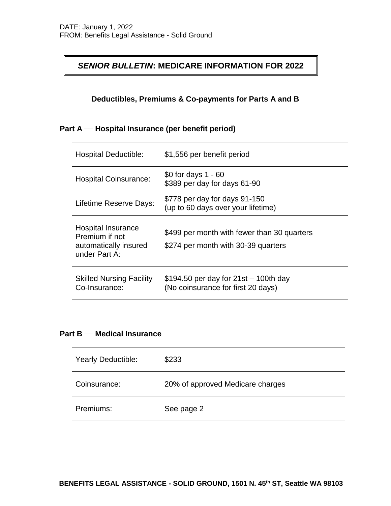## *SENIOR BULLETIN***: MEDICARE INFORMATION FOR 2022**

## **Deductibles, Premiums & Co-payments for Parts A and B**

## **Part A \_\_ Hospital Insurance (per benefit period)**

| <b>Hospital Deductible:</b>                                                    | \$1,556 per benefit period                                                         |
|--------------------------------------------------------------------------------|------------------------------------------------------------------------------------|
| <b>Hospital Coinsurance:</b>                                                   | \$0 for days 1 - 60<br>\$389 per day for days 61-90                                |
| Lifetime Reserve Days:                                                         | \$778 per day for days 91-150<br>(up to 60 days over your lifetime)                |
| Hospital Insurance<br>Premium if not<br>automatically insured<br>under Part A: | \$499 per month with fewer than 30 quarters<br>\$274 per month with 30-39 quarters |
| <b>Skilled Nursing Facility</b><br>Co-Insurance:                               | $$194.50$ per day for 21st $-100$ th day<br>(No coinsurance for first 20 days)     |

## **Part B \_\_ Medical Insurance**

 $\blacksquare$ 

| <b>Yearly Deductible:</b> | \$233                            |
|---------------------------|----------------------------------|
| Coinsurance:              | 20% of approved Medicare charges |
| Premiums:                 | See page 2                       |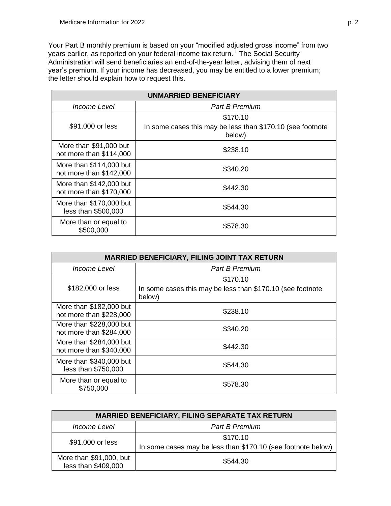Your Part B monthly premium is based on your "modified adjusted gross income" from two years earlier, as reported on your federal income tax return.<sup>1</sup> The Social Security Administration will send beneficiaries an end-of-the-year letter, advising them of next year's premium. If your income has decreased, you may be entitled to a lower premium; the letter should explain how to request this.

| <b>UNMARRIED BENEFICIARY</b>                       |                                                                                  |  |
|----------------------------------------------------|----------------------------------------------------------------------------------|--|
| Income Level                                       | <b>Part B Premium</b>                                                            |  |
| \$91,000 or less                                   | \$170.10<br>In some cases this may be less than \$170.10 (see footnote<br>below) |  |
| More than \$91,000 but<br>not more than \$114,000  | \$238.10                                                                         |  |
| More than \$114,000 but<br>not more than \$142,000 | \$340.20                                                                         |  |
| More than \$142,000 but<br>not more than \$170,000 | \$442.30                                                                         |  |
| More than \$170,000 but<br>less than \$500,000     | \$544.30                                                                         |  |
| More than or equal to<br>\$500,000                 | \$578.30                                                                         |  |

| <b>MARRIED BENEFICIARY, FILING JOINT TAX RETURN</b> |                                                                                  |  |
|-----------------------------------------------------|----------------------------------------------------------------------------------|--|
| Income Level                                        | <b>Part B Premium</b>                                                            |  |
| \$182,000 or less                                   | \$170.10<br>In some cases this may be less than \$170.10 (see footnote<br>below) |  |
| More than \$182,000 but<br>not more than \$228,000  | \$238.10                                                                         |  |
| More than \$228,000 but<br>not more than \$284,000  | \$340.20                                                                         |  |
| More than \$284,000 but<br>not more than \$340,000  | \$442.30                                                                         |  |
| More than \$340,000 but<br>less than \$750,000      | \$544.30                                                                         |  |
| More than or equal to<br>\$750,000                  | \$578.30                                                                         |  |

| <b>MARRIED BENEFICIARY, FILING SEPARATE TAX RETURN</b> |                                                                          |  |
|--------------------------------------------------------|--------------------------------------------------------------------------|--|
| <i>Income Level</i>                                    | <b>Part B Premium</b>                                                    |  |
| \$91,000 or less                                       | \$170.10<br>In some cases may be less than \$170.10 (see footnote below) |  |
| More than \$91,000, but<br>less than \$409,000         | \$544.30                                                                 |  |